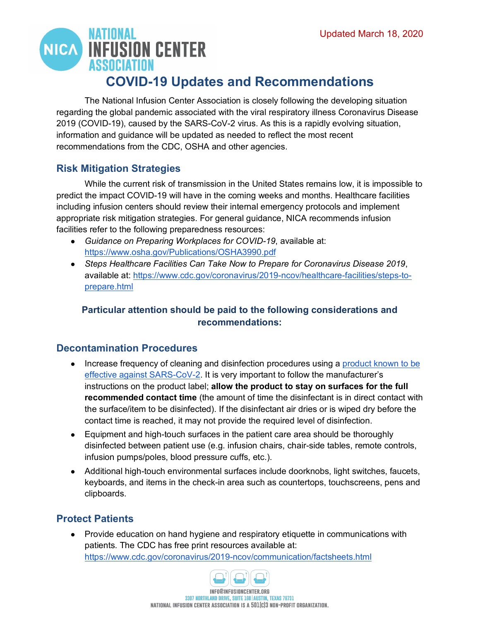

The National Infusion Center Association is closely following the developing situation regarding the global pandemic associated with the viral respiratory illness Coronavirus Disease 2019 (COVID-19), caused by the SARS-CoV-2 virus. As this is a rapidly evolving situation, information and guidance will be updated as needed to reflect the most recent recommendations from the CDC, OSHA and other agencies.

## **Risk Mitigation Strategies**

While the current risk of transmission in the United States remains low, it is impossible to predict the impact COVID-19 will have in the coming weeks and months. Healthcare facilities including infusion centers should review their internal emergency protocols and implement appropriate risk mitigation strategies. For general guidance, NICA recommends infusion facilities refer to the following preparedness resources:

- *Guidance on Preparing Workplaces for COVID-19*, available at: <https://www.osha.gov/Publications/OSHA3990.pdf>
- *Steps Healthcare Facilities Can Take Now to Prepare for Coronavirus Disease 2019*, available at: [https://www.cdc.gov/coronavirus/2019-ncov/healthcare-facilities/steps-to](https://www.cdc.gov/coronavirus/2019-ncov/healthcare-facilities/steps-to-prepare.html)[prepare.html](https://www.cdc.gov/coronavirus/2019-ncov/healthcare-facilities/steps-to-prepare.html)

## **Particular attention should be paid to the following considerations and recommendations:**

#### **Decontamination Procedures**

- Increase frequency of cleaning and disinfection procedures using a product known to be [effective against SARS-CoV-2.](https://www.epa.gov/pesticide-registration/list-n-disinfectants-use-against-sars-cov-2) It is very important to follow the manufacturer's instructions on the product label; **allow the product to stay on surfaces for the full recommended contact time** (the amount of time the disinfectant is in direct contact with the surface/item to be disinfected). If the disinfectant air dries or is wiped dry before the contact time is reached, it may not provide the required level of disinfection.
- Equipment and high-touch surfaces in the patient care area should be thoroughly disinfected between patient use (e.g. infusion chairs, chair-side tables, remote controls, infusion pumps/poles, blood pressure cuffs, etc.).
- Additional high-touch environmental surfaces include doorknobs, light switches, faucets, keyboards, and items in the check-in area such as countertops, touchscreens, pens and clipboards.

#### **Protect Patients**

● Provide education on hand hygiene and respiratory etiquette in communications with patients. The CDC has free print resources available at: <https://www.cdc.gov/coronavirus/2019-ncov/communication/factsheets.html>

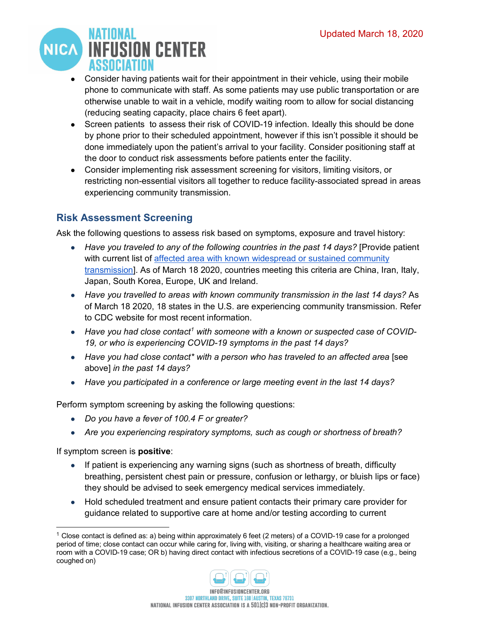

- Consider having patients wait for their appointment in their vehicle, using their mobile phone to communicate with staff. As some patients may use public transportation or are otherwise unable to wait in a vehicle, modify waiting room to allow for social distancing (reducing seating capacity, place chairs 6 feet apart).
- Screen patients to assess their risk of COVID-19 infection. Ideally this should be done by phone prior to their scheduled appointment, however if this isn't possible it should be done immediately upon the patient's arrival to your facility. Consider positioning staff at the door to conduct risk assessments before patients enter the facility.
- Consider implementing risk assessment screening for visitors, limiting visitors, or restricting non-essential visitors all together to reduce facility-associated spread in areas experiencing community transmission.

## **Risk Assessment Screening**

Ask the following questions to assess risk based on symptoms, exposure and travel history:

- *Have you traveled to any of the following countries in the past 14 days?* [Provide patient with current list of [affected area with known widespread or sustained community](https://www.cdc.gov/coronavirus/2019-ncov/travelers/after-travel-precautions.html)  [transmission\]](https://www.cdc.gov/coronavirus/2019-ncov/travelers/after-travel-precautions.html). As of March 18 2020, countries meeting this criteria are China, Iran, Italy, Japan, South Korea, Europe, UK and Ireland.
- *Have you travelled to areas with known community transmission in the last 14 days?* As of March 18 2020, 18 states in the U.S. are experiencing community transmission. Refer to [CDC website](https://www.cdc.gov/coronavirus/2019-ncov/cases-updates/cases-in-us.html) for most recent information.
- *Have you had close contact[1](#page-1-0) with someone with a known or suspected case of COVID-19, or who is experiencing COVID-19 symptoms in the past 14 days?*
- Have you had close contact<sup>\*</sup> with a person who has traveled to an affected area [see above] *in the past 14 days?*
- *Have you participated in a conference or large meeting event in the last 14 days?*

Perform symptom screening by asking the following questions:

- *Do you have a fever of 100.4 F or greater?*
- *Are you experiencing respiratory symptoms, such as cough or shortness of breath?*

If symptom screen is **positive**:

- If patient is experiencing any warning signs (such as shortness of breath, difficulty breathing, persistent chest pain or pressure, confusion or lethargy, or bluish lips or face) they should be advised to seek emergency medical services immediately.
- Hold scheduled treatment and ensure patient contacts their primary care provider for guidance related to supportive care at home and/or testing according to current

<span id="page-1-0"></span><sup>&</sup>lt;sup>1</sup> Close contact is defined as: a) being within approximately 6 feet (2 meters) of a COVID-19 case for a prolonged period of time; close contact can occur while caring for, living with, visiting, or sharing a healthcare waiting area or room with a COVID-19 case; OR b) having direct contact with infectious secretions of a COVID-19 case (e.g., being coughed on)

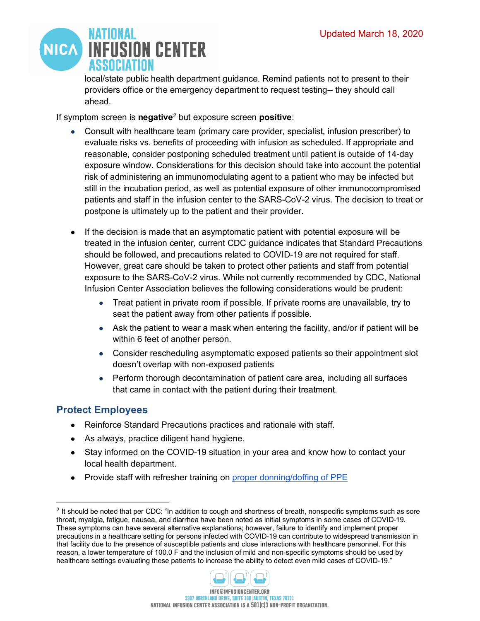

local/state public health department guidance. Remind patients not to present to their providers office or the emergency department to request testing-- they should call ahead.

If symptom screen is **negative**[2](#page-2-0) but exposure screen **positive**:

- Consult with healthcare team (primary care provider, specialist, infusion prescriber) to evaluate risks vs. benefits of proceeding with infusion as scheduled. If appropriate and reasonable, consider postponing scheduled treatment until patient is outside of 14-day exposure window. Considerations for this decision should take into account the potential risk of administering an immunomodulating agent to a patient who may be infected but still in the incubation period, as well as potential exposure of other immunocompromised patients and staff in the infusion center to the SARS-CoV-2 virus. The decision to treat or postpone is ultimately up to the patient and their provider.
- If the decision is made that an asymptomatic patient with potential exposure will be treated in the infusion center, current CDC guidance indicates that Standard Precautions should be followed, and precautions related to COVID-19 are not required for staff. However, great care should be taken to protect other patients and staff from potential exposure to the SARS-CoV-2 virus. While not currently recommended by CDC, National Infusion Center Association believes the following considerations would be prudent:
	- Treat patient in private room if possible. If private rooms are unavailable, try to seat the patient away from other patients if possible.
	- Ask the patient to wear a mask when entering the facility, and/or if patient will be within 6 feet of another person.
	- Consider rescheduling asymptomatic exposed patients so their appointment slot doesn't overlap with non-exposed patients
	- Perform thorough decontamination of patient care area, including all surfaces that came in contact with the patient during their treatment.

## **Protect Employees**

- Reinforce Standard Precautions practices and rationale with staff.
- As always, practice diligent hand hygiene.
- Stay informed on the COVID-19 situation in your area and know how to contact your local health department.
- Provide staff with refresher training on [proper donning/doffing of PPE](https://www.cdc.gov/hai/pdfs/ppe/ppe-sequence.pdf)

<span id="page-2-0"></span><sup>&</sup>lt;sup>2</sup> It should be noted that per CDC: "In addition to cough and shortness of breath, nonspecific symptoms such as sore throat, myalgia, fatigue, nausea, and diarrhea have been noted as initial symptoms in some cases of COVID-19. These symptoms can have several alternative explanations; however, failure to identify and implement proper precautions in a healthcare setting for persons infected with COVID-19 can contribute to widespread transmission in that facility due to the presence of susceptible patients and close interactions with healthcare personnel. For this reason, a lower temperature of 100.0 F and the inclusion of mild and non-specific symptoms should be used by healthcare settings evaluating these patients to increase the ability to detect even mild cases of COVID-19."

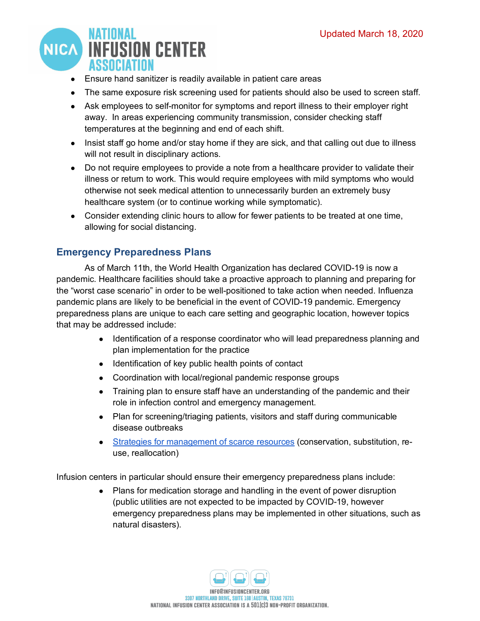

- Ensure hand sanitizer is readily available in patient care areas
- The same exposure risk screening used for patients should also be used to screen staff.
- Ask employees to self-monitor for symptoms and report illness to their employer right away. In areas experiencing community transmission, consider checking staff temperatures at the beginning and end of each shift.
- Insist staff go home and/or stay home if they are sick, and that calling out due to illness will not result in disciplinary actions.
- Do not require employees to provide a note from a healthcare provider to validate their illness or return to work. This would require employees with mild symptoms who would otherwise not seek medical attention to unnecessarily burden an extremely busy healthcare system (or to continue working while symptomatic).
- Consider extending clinic hours to allow for fewer patients to be treated at one time, allowing for social distancing.

## **Emergency Preparedness Plans**

As of March 11th, the World Health Organization has declared COVID-19 is now a pandemic. Healthcare facilities should take a proactive approach to planning and preparing for the "worst case scenario" in order to be well-positioned to take action when needed. Influenza pandemic plans are likely to be beneficial in the event of COVID-19 pandemic. Emergency preparedness plans are unique to each care setting and geographic location, however topics that may be addressed include:

- Identification of a response coordinator who will lead preparedness planning and plan implementation for the practice
- Identification of key public health points of contact
- Coordination with local/regional pandemic response groups
- Training plan to ensure staff have an understanding of the pandemic and their role in infection control and emergency management.
- Plan for screening/triaging patients, visitors and staff during communicable disease outbreaks
- [Strategies for management of scarce resources](https://www.cdc.gov/coronavirus/2019-ncov/hcp/ppe-strategy/index.html) (conservation, substitution, reuse, reallocation)

Infusion centers in particular should ensure their emergency preparedness plans include:

• Plans for medication storage and handling in the event of power disruption (public utilities are not expected to be impacted by COVID-19, however emergency preparedness plans may be implemented in other situations, such as natural disasters).

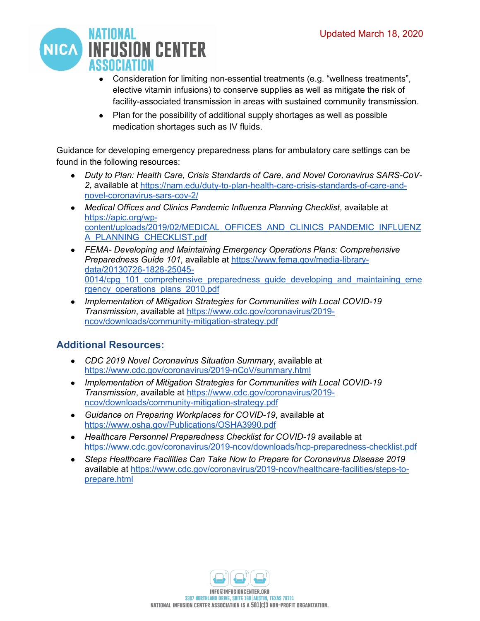

- Consideration for limiting non-essential treatments (e.g. "wellness treatments", elective vitamin infusions) to conserve supplies as well as mitigate the risk of facility-associated transmission in areas with sustained community transmission.
- Plan for the possibility of additional supply shortages as well as possible medication shortages such as IV fluids.

Guidance for developing emergency preparedness plans for ambulatory care settings can be found in the following resources:

- *Duty to Plan: Health Care, Crisis Standards of Care, and Novel Coronavirus SARS-CoV-2*, available at [https://nam.edu/duty-to-plan-health-care-crisis-standards-of-care-and](https://nam.edu/duty-to-plan-health-care-crisis-standards-of-care-and-novel-coronavirus-sars-cov-2/)[novel-coronavirus-sars-cov-2/](https://nam.edu/duty-to-plan-health-care-crisis-standards-of-care-and-novel-coronavirus-sars-cov-2/)
- *Medical Offices and Clinics Pandemic Influenza Planning Checklist*, available at [https://apic.org/wp](https://apic.org/wp-content/uploads/2019/02/MEDICAL_OFFICES_AND_CLINICS_PANDEMIC_INFLUENZA_PLANNING_CHECKLIST.pdf)[content/uploads/2019/02/MEDICAL\\_OFFICES\\_AND\\_CLINICS\\_PANDEMIC\\_INFLUENZ](https://apic.org/wp-content/uploads/2019/02/MEDICAL_OFFICES_AND_CLINICS_PANDEMIC_INFLUENZA_PLANNING_CHECKLIST.pdf) [A\\_PLANNING\\_CHECKLIST.pdf](https://apic.org/wp-content/uploads/2019/02/MEDICAL_OFFICES_AND_CLINICS_PANDEMIC_INFLUENZA_PLANNING_CHECKLIST.pdf)
- *FEMA- Developing and Maintaining Emergency Operations Plans: Comprehensive Preparedness Guide 101*, available at [https://www.fema.gov/media-library](https://www.fema.gov/media-library-data/20130726-1828-25045-0014/cpg_101_comprehensive_preparedness_guide_developing_and_maintaining_emergency_operations_plans_2010.pdf)[data/20130726-1828-25045-](https://www.fema.gov/media-library-data/20130726-1828-25045-0014/cpg_101_comprehensive_preparedness_guide_developing_and_maintaining_emergency_operations_plans_2010.pdf) [0014/cpg\\_101\\_comprehensive\\_preparedness\\_guide\\_developing\\_and\\_maintaining\\_eme](https://www.fema.gov/media-library-data/20130726-1828-25045-0014/cpg_101_comprehensive_preparedness_guide_developing_and_maintaining_emergency_operations_plans_2010.pdf) rgency operations plans 2010.pdf
- *Implementation of Mitigation Strategies for Communities with Local COVID-19 Transmission*, available at [https://www.cdc.gov/coronavirus/2019](https://www.cdc.gov/coronavirus/2019-ncov/downloads/community-mitigation-strategy.pdf) [ncov/downloads/community-mitigation-strategy.pdf](https://www.cdc.gov/coronavirus/2019-ncov/downloads/community-mitigation-strategy.pdf)

## **Additional Resources:**

- *CDC 2019 Novel Coronavirus Situation Summary*, available at <https://www.cdc.gov/coronavirus/2019-nCoV/summary.html>
- *Implementation of Mitigation Strategies for Communities with Local COVID-19 Transmission*, available at [https://www.cdc.gov/coronavirus/2019](https://www.cdc.gov/coronavirus/2019-ncov/downloads/community-mitigation-strategy.pdf) [ncov/downloads/community-mitigation-strategy.pdf](https://www.cdc.gov/coronavirus/2019-ncov/downloads/community-mitigation-strategy.pdf)
- *Guidance on Preparing Workplaces for COVID-19*, available at <https://www.osha.gov/Publications/OSHA3990.pdf>
- *Healthcare Personnel Preparedness Checklist for COVID-19* available at <https://www.cdc.gov/coronavirus/2019-ncov/downloads/hcp-preparedness-checklist.pdf>
- *Steps Healthcare Facilities Can Take Now to Prepare for Coronavirus Disease 2019*  available at [https://www.cdc.gov/coronavirus/2019-ncov/healthcare-facilities/steps-to](https://www.cdc.gov/coronavirus/2019-ncov/healthcare-facilities/steps-to-prepare.html)[prepare.html](https://www.cdc.gov/coronavirus/2019-ncov/healthcare-facilities/steps-to-prepare.html)

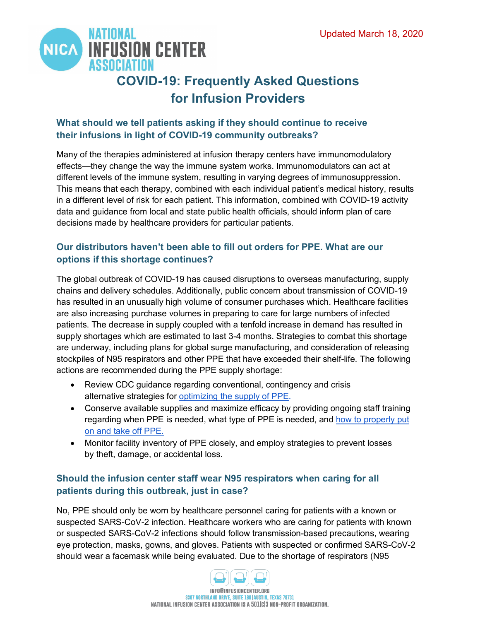

# **COVID-19: Frequently Asked Questions for Infusion Providers**

#### **What should we tell patients asking if they should continue to receive their infusions in light of COVID-19 community outbreaks?**

Many of the therapies administered at infusion therapy centers have immunomodulatory effects—they change the way the immune system works. Immunomodulators can act at different levels of the immune system, resulting in varying degrees of immunosuppression. This means that each therapy, combined with each individual patient's medical history, results in a different level of risk for each patient. This information, combined with COVID-19 activity data and guidance from local and state public health officials, should inform plan of care decisions made by healthcare providers for particular patients.

#### **Our distributors haven't been able to fill out orders for PPE. What are our options if this shortage continues?**

The global outbreak of COVID-19 has caused disruptions to overseas manufacturing, supply chains and delivery schedules. Additionally, public concern about transmission of COVID-19 has resulted in an unusually high volume of consumer purchases which. Healthcare facilities are also increasing purchase volumes in preparing to care for large numbers of infected patients. The decrease in supply coupled with a tenfold increase in demand has resulted in supply shortages which are estimated to last 3-4 months. Strategies to combat this shortage are underway, including plans for global surge manufacturing, and consideration of releasing stockpiles of N95 respirators and other PPE that have exceeded their shelf-life. The following actions are recommended during the PPE supply shortage:

- Review CDC guidance regarding conventional, contingency and crisis alternative strategies for [optimizing the supply of PPE.](https://www.cdc.gov/coronavirus/2019-ncov/hcp/ppe-strategy/index.html)
- Conserve available supplies and maximize efficacy by providing ongoing staff training regarding when PPE is needed, what type of PPE is needed, and [how to properly put](https://www.cdc.gov/hai/pdfs/ppe/ppe-sequence.pdf)  [on and take off PPE.](https://www.cdc.gov/hai/pdfs/ppe/ppe-sequence.pdf)
- Monitor facility inventory of PPE closely, and employ strategies to prevent losses by theft, damage, or accidental loss.

#### **Should the infusion center staff wear N95 respirators when caring for all patients during this outbreak, just in case?**

No, PPE should only be worn by healthcare personnel caring for patients with a known or suspected SARS-CoV-2 infection. Healthcare workers who are caring for patients with known or suspected SARS-CoV-2 infections should follow transmission-based precautions, wearing eye protection, masks, gowns, and gloves. Patients with suspected or confirmed SARS-CoV-2 should wear a facemask while being evaluated. Due to the shortage of respirators (N95

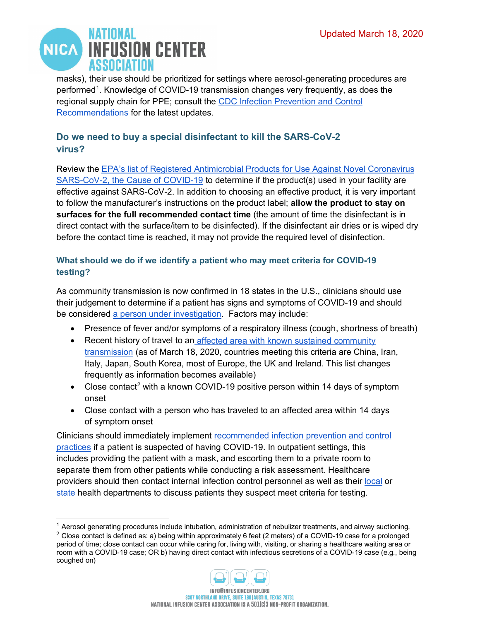

masks), their use should be prioritized for settings where aerosol-generating procedures are performed<sup>[1](#page-6-0)</sup>. Knowledge of COVID-19 transmission changes very frequently, as does the regional supply chain for PPE; consult the [CDC Infection Prevention and Control](https://www.cdc.gov/coronavirus/2019-ncov/infection-control/control-recommendations.html?CDC_AA_refVal=https%3A%2F%2Fwww.cdc.gov%2Fcoronavirus%2F2019-ncov%2Fhcp%2Finfection-control.html)  [Recommendations](https://www.cdc.gov/coronavirus/2019-ncov/infection-control/control-recommendations.html?CDC_AA_refVal=https%3A%2F%2Fwww.cdc.gov%2Fcoronavirus%2F2019-ncov%2Fhcp%2Finfection-control.html) for the latest updates.

#### **Do we need to buy a special disinfectant to kill the SARS-CoV-2 virus?**

Review the [EPA's list of Registered Antimicrobial Products for Use Against Novel Coronavirus](https://www.epa.gov/pesticide-registration/list-n-disinfectants-use-against-sars-cov-2)  [SARS-CoV-2, the Cause of COVID-19](https://www.epa.gov/pesticide-registration/list-n-disinfectants-use-against-sars-cov-2) to determine if the product(s) used in your facility are effective against SARS-CoV-2. In addition to choosing an effective product, it is very important to follow the manufacturer's instructions on the product label; **allow the product to stay on surfaces for the full recommended contact time** (the amount of time the disinfectant is in direct contact with the surface/item to be disinfected). If the disinfectant air dries or is wiped dry before the contact time is reached, it may not provide the required level of disinfection.

#### **What should we do if we identify a patient who may meet criteria for COVID-19 testing?**

As community transmission is now confirmed in 18 states in the U.S., clinicians should use their judgement to determine if a patient has signs and symptoms of COVID-19 and should be considered [a person under investigation.](https://www.cdc.gov/coronavirus/2019-nCoV/hcp/clinical-criteria.html) Factors may include:

- Presence of fever and/or symptoms of a respiratory illness (cough, shortness of breath)
- Recent history of travel to an affected area with known sustained community [transmission](https://www.cdc.gov/coronavirus/2019-ncov/travelers/after-travel-precautions.html) (as of March 18, 2020, countries meeting this criteria are China, Iran, Italy, Japan, South Korea, most of Europe, the UK and Ireland. This list changes frequently as information becomes available)
- Close contact<sup>[2](#page-6-1)</sup> with a known COVID-19 positive person within 14 days of symptom onset
- Close contact with a person who has traveled to an affected area within 14 days of symptom onset

Clinicians should immediately implement [recommended infection prevention and control](https://www.cdc.gov/coronavirus/2019-ncov/infection-control/control-recommendations.html)  [practices](https://www.cdc.gov/coronavirus/2019-ncov/infection-control/control-recommendations.html) if a patient is suspected of having COVID-19. In outpatient settings, this includes providing the patient with a mask, and escorting them to a private room to separate them from other patients while conducting a risk assessment. Healthcare providers should then contact internal infection control personnel as well as their [local](https://www.naccho.org/membership/lhd-directory) or [state](http://state/) health departments to discuss patients they suspect meet criteria for testing.

<span id="page-6-1"></span><sup>&</sup>lt;sup>2</sup> Close contact is defined as: a) being within approximately 6 feet (2 meters) of a COVID-19 case for a prolonged period of time; close contact can occur while caring for, living with, visiting, or sharing a healthcare waiting area or room with a COVID-19 case; OR b) having direct contact with infectious secretions of a COVID-19 case (e.g., being coughed on)



<span id="page-6-0"></span><sup>1</sup> Aerosol generating procedures include intubation, administration of nebulizer treatments, and airway suctioning.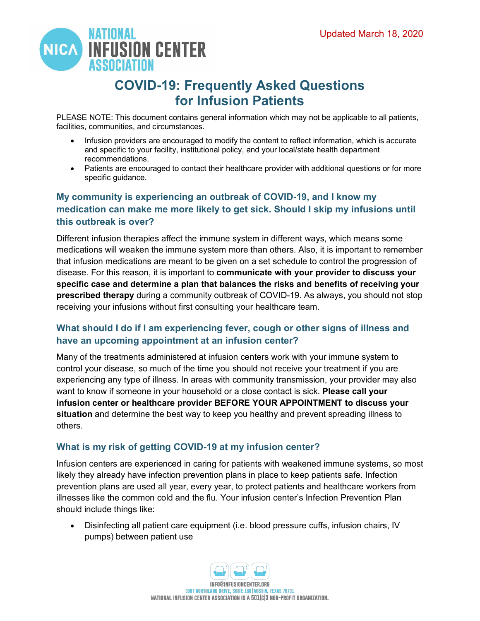

## **COVID-19: Frequently Asked Questions for Infusion Patients**

PLEASE NOTE: This document contains general information which may not be applicable to all patients, facilities, communities, and circumstances.

- Infusion providers are encouraged to modify the content to reflect information, which is accurate and specific to your facility, institutional policy, and your local/state health department recommendations.
- Patients are encouraged to contact their healthcare provider with additional questions or for more specific guidance.

#### **My community is experiencing an outbreak of COVID-19, and I know my medication can make me more likely to get sick. Should I skip my infusions until this outbreak is over?**

Different infusion therapies affect the immune system in different ways, which means some medications will weaken the immune system more than others. Also, it is important to remember that infusion medications are meant to be given on a set schedule to control the progression of disease. For this reason, it is important to **communicate with your provider to discuss your specific case and determine a plan that balances the risks and benefits of receiving your prescribed therapy** during a community outbreak of COVID-19. As always, you should not stop receiving your infusions without first consulting your healthcare team.

#### **What should I do if I am experiencing fever, cough or other signs of illness and have an upcoming appointment at an infusion center?**

Many of the treatments administered at infusion centers work with your immune system to control your disease, so much of the time you should not receive your treatment if you are experiencing any type of illness. In areas with community transmission, your provider may also want to know if someone in your household or a close contact is sick. **Please call your infusion center or healthcare provider BEFORE YOUR APPOINTMENT to discuss your situation** and determine the best way to keep you healthy and prevent spreading illness to others.

#### **What is my risk of getting COVID-19 at my infusion center?**

Infusion centers are experienced in caring for patients with weakened immune systems, so most likely they already have infection prevention plans in place to keep patients safe. Infection prevention plans are used all year, every year, to protect patients and healthcare workers from illnesses like the common cold and the flu. Your infusion center's Infection Prevention Plan should include things like:

• Disinfecting all patient care equipment (i.e. blood pressure cuffs, infusion chairs, IV pumps) between patient use